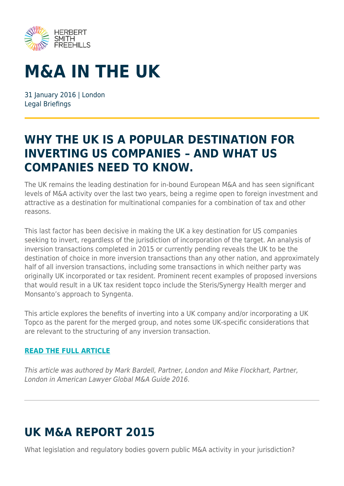

# **M&A IN THE UK**

31 Ianuary 2016 | London Legal Briefings

### **WHY THE UK IS A POPULAR DESTINATION FOR INVERTING US COMPANIES – AND WHAT US COMPANIES NEED TO KNOW.**

The UK remains the leading destination for in-bound European M&A and has seen significant levels of M&A activity over the last two years, being a regime open to foreign investment and attractive as a destination for multinational companies for a combination of tax and other reasons.

This last factor has been decisive in making the UK a key destination for US companies seeking to invert, regardless of the jurisdiction of incorporation of the target. An analysis of inversion transactions completed in 2015 or currently pending reveals the UK to be the destination of choice in more inversion transactions than any other nation, and approximately half of all inversion transactions, including some transactions in which neither party was originally UK incorporated or tax resident. Prominent recent examples of proposed inversions that would result in a UK tax resident topco include the Steris/Synergy Health merger and Monsanto's approach to Syngenta.

This article explores the benefits of inverting into a UK company and/or incorporating a UK Topco as the parent for the merged group, and notes some UK-specific considerations that are relevant to the structuring of any inversion transaction.

#### **[READ THE FULL ARTICLE](https://www.herbertsmithfreehills.com/file/15436/download?token=AzxaifLZ)**

This article was authored by Mark Bardell, Partner, London and Mike Flockhart, Partner, London in American Lawyer Global M&A Guide 2016.

## **UK M&A REPORT 2015**

What legislation and regulatory bodies govern public M&A activity in your jurisdiction?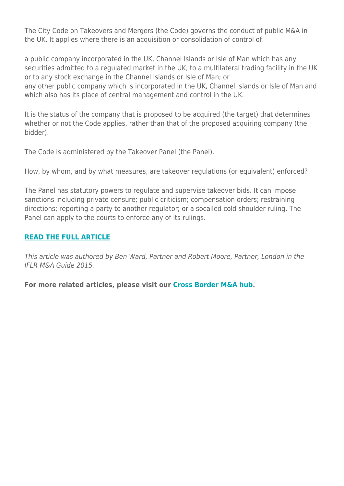The City Code on Takeovers and Mergers (the Code) governs the conduct of public M&A in the UK. It applies where there is an acquisition or consolidation of control of:

a public company incorporated in the UK, Channel Islands or Isle of Man which has any securities admitted to a regulated market in the UK, to a multilateral trading facility in the UK or to any stock exchange in the Channel Islands or Isle of Man; or

any other public company which is incorporated in the UK, Channel Islands or Isle of Man and which also has its place of central management and control in the UK.

It is the status of the company that is proposed to be acquired (the target) that determines whether or not the Code applies, rather than that of the proposed acquiring company (the bidder).

The Code is administered by the Takeover Panel (the Panel).

How, by whom, and by what measures, are takeover regulations (or equivalent) enforced?

The Panel has statutory powers to regulate and supervise takeover bids. It can impose sanctions including private censure; public criticism; compensation orders; restraining directions; reporting a party to another regulator; or a socalled cold shoulder ruling. The Panel can apply to the courts to enforce any of its rulings.

#### **[READ THE FULL ARTICLE](https://www.herbertsmithfreehills.com/file/15441/download?token=KSeLALPB)**

This article was authored by Ben Ward, Partner and Robert Moore, Partner, London in the IFLR M&A Guide 2015.

**For more related articles, please visit our [Cross Border M&A hub.](https://www.herbertsmithfreehills.com/latest-thinking/hubs/cross-border-ma)**